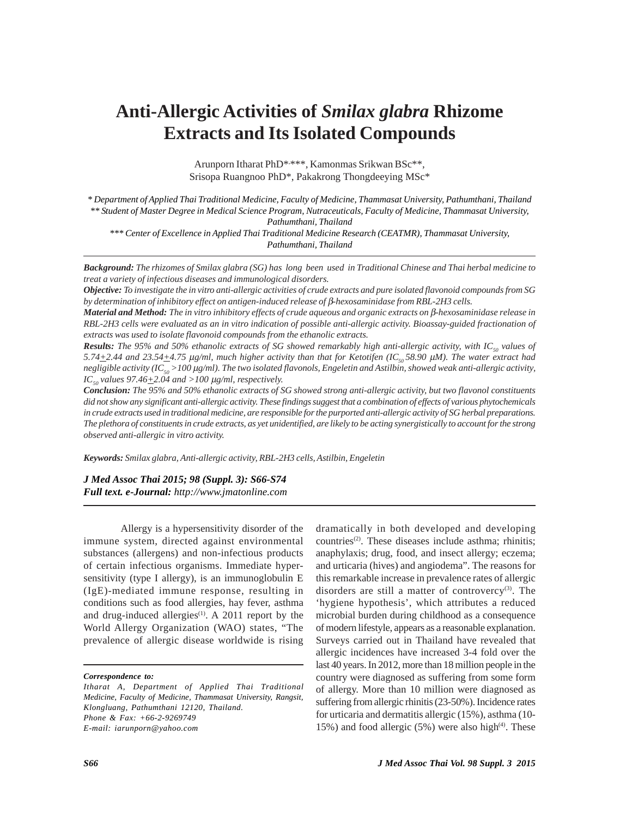# **Anti-Allergic Activities of** *Smilax glabra* **Rhizome Extracts and Its Isolated Compounds**

Arunporn Itharat PhD\*, \*\*\*, Kamonmas Srikwan BSc\*\*, Srisopa Ruangnoo PhD\*, Pakakrong Thongdeeying MSc\*

*\* Department of Applied Thai Traditional Medicine, Faculty of Medicine, Thammasat University, Pathumthani, Thailand \*\* Student of Master Degree in Medical Science Program, Nutraceuticals, Faculty of Medicine, Thammasat University,*

*Pathumthani, Thailand*

*\*\*\* Center of Excellence in Applied Thai Traditional Medicine Research (CEATMR), Thammasat University, Pathumthani, Thailand*

*Background: The rhizomes of Smilax glabra (SG) has long been used in Traditional Chinese and Thai herbal medicine to treat a variety of infectious diseases and immunological disorders.*

*Objective: To investigate the in vitro anti-allergic activities of crude extracts and pure isolated flavonoid compounds from SG by determination of inhibitory effect on antigen-induced release of* β*-hexosaminidase from RBL-2H3 cells.*

*Material and Method: The in vitro inhibitory effects of crude aqueous and organic extracts on* β*-hexosaminidase release in RBL-2H3 cells were evaluated as an in vitro indication of possible anti-allergic activity. Bioassay-guided fractionation of extracts was used to isolate flavonoid compounds from the ethanolic extracts.*

**Results:** The 95% and 50% ethanolic extracts of SG showed remarkably high anti-allergic activity, with IC<sub>50</sub> values of *5.74* $\pm$ 2.44 and 23.54 $\pm$ 4.75 μg/ml, much higher activity than that for Ketotifen (IC<sub>50</sub>58.90 μM). The water extract had *negligible activity (IC50 >100* μ*g/ml). The two isolated flavonols, Engeletin and Astilbin, showed weak anti-allergic activity, IC<sub>50</sub> values 97.46* $\pm$ 2.04 and >100  $\mu$ *g/ml, respectively.* 

*Conclusion: The 95% and 50% ethanolic extracts of SG showed strong anti-allergic activity, but two flavonol constituents did not show any significant anti-allergic activity. These findings suggest that a combination of effects of various phytochemicals in crude extracts used in traditional medicine, are responsible for the purported anti-allergic activity of SG herbal preparations. The plethora of constituents in crude extracts, as yet unidentified, are likely to be acting synergistically to account for the strong observed anti-allergic in vitro activity.*

*Keywords: Smilax glabra, Anti-allergic activity, RBL-2H3 cells, Astilbin, Engeletin*

*J Med Assoc Thai 2015; 98 (Suppl. 3): S66-S74 Full text. e-Journal: http://www.jmatonline.com*

Allergy is a hypersensitivity disorder of the immune system, directed against environmental substances (allergens) and non-infectious products of certain infectious organisms. Immediate hypersensitivity (type I allergy), is an immunoglobulin E (IgE)-mediated immune response, resulting in conditions such as food allergies, hay fever, asthma and drug-induced allergies $(1)$ . A 2011 report by the World Allergy Organization (WAO) states, "The prevalence of allergic disease worldwide is rising

*Correspondence to:*

*Itharat A, Department of Applied Thai Traditional Medicine, Faculty of Medicine, Thammasat University, Rangsit, Klongluang, Pathumthani 12120, Thailand. Phone & Fax: +66-2-9269749 E-mail: iarunporn@yahoo.com*

dramatically in both developed and developing countries<sup>(2)</sup>. These diseases include asthma; rhinitis; anaphylaxis; drug, food, and insect allergy; eczema; and urticaria (hives) and angiodema". The reasons for this remarkable increase in prevalence rates of allergic disorders are still a matter of controvercy $(3)$ . The 'hygiene hypothesis', which attributes a reduced microbial burden during childhood as a consequence of modern lifestyle, appears as a reasonable explanation. Surveys carried out in Thailand have revealed that allergic incidences have increased 3-4 fold over the last 40 years. In 2012, more than 18 million people in the country were diagnosed as suffering from some form of allergy. More than 10 million were diagnosed as suffering from allergic rhinitis (23-50%). Incidence rates for urticaria and dermatitis allergic (15%), asthma (10- 15%) and food allergic  $(5%)$  were also high<sup> $(4)$ </sup>. These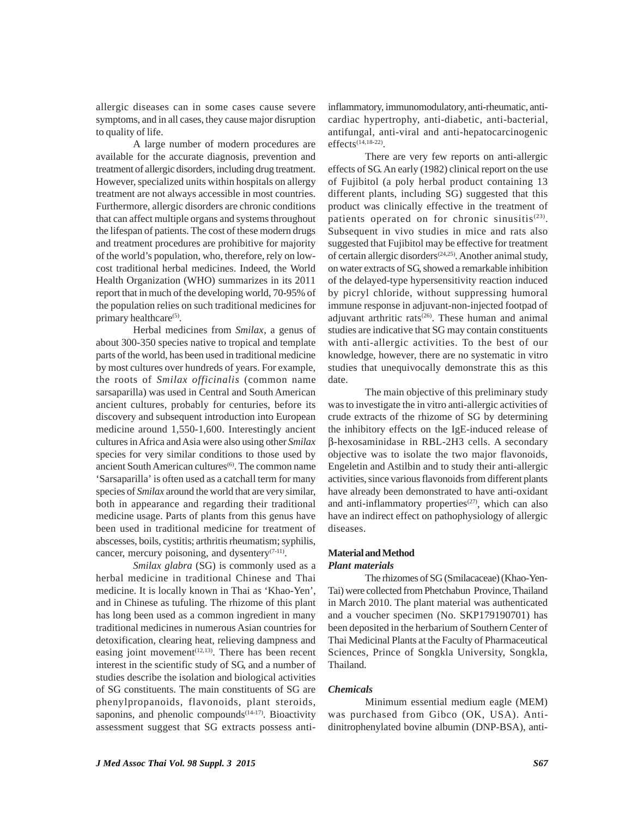allergic diseases can in some cases cause severe symptoms, and in all cases, they cause major disruption to quality of life.

A large number of modern procedures are available for the accurate diagnosis, prevention and treatment of allergic disorders, including drug treatment. However, specialized units within hospitals on allergy treatment are not always accessible in most countries. Furthermore, allergic disorders are chronic conditions that can affect multiple organs and systems throughout the lifespan of patients. The cost of these modern drugs and treatment procedures are prohibitive for majority of the world's population, who, therefore, rely on lowcost traditional herbal medicines. Indeed, the World Health Organization (WHO) summarizes in its 2011 report that in much of the developing world, 70-95% of the population relies on such traditional medicines for primary healthcare<sup>(5)</sup>.

Herbal medicines from *Smilax*, a genus of about 300-350 species native to tropical and template parts of the world, has been used in traditional medicine by most cultures over hundreds of years. For example, the roots of *Smilax officinalis* (common name sarsaparilla) was used in Central and South American ancient cultures, probably for centuries, before its discovery and subsequent introduction into European medicine around 1,550-1,600. Interestingly ancient cultures in Africa and Asia were also using other *Smilax* species for very similar conditions to those used by ancient South American cultures<sup>(6)</sup>. The common name 'Sarsaparilla' is often used as a catchall term for many species of *Smilax* around the world that are very similar, both in appearance and regarding their traditional medicine usage. Parts of plants from this genus have been used in traditional medicine for treatment of abscesses, boils, cystitis; arthritis rheumatism; syphilis, cancer, mercury poisoning, and dysentery $(7-11)$ .

*Smilax glabra* (SG) is commonly used as a herbal medicine in traditional Chinese and Thai medicine. It is locally known in Thai as 'Khao-Yen', and in Chinese as tufuling. The rhizome of this plant has long been used as a common ingredient in many traditional medicines in numerous Asian countries for detoxification, clearing heat, relieving dampness and easing joint movement<sup> $(12,13)$ </sup>. There has been recent interest in the scientific study of SG, and a number of studies describe the isolation and biological activities of SG constituents. The main constituents of SG are phenylpropanoids, flavonoids, plant steroids, saponins, and phenolic compounds $(14-17)$ . Bioactivity assessment suggest that SG extracts possess anti-

inflammatory, immunomodulatory, anti-rheumatic, anticardiac hypertrophy, anti-diabetic, anti-bacterial, antifungal, anti-viral and anti-hepatocarcinogenic effects(14,18-22).

There are very few reports on anti-allergic effects of SG. An early (1982) clinical report on the use of Fujibitol (a poly herbal product containing 13 different plants, including SG) suggested that this product was clinically effective in the treatment of patients operated on for chronic sinusitis $(23)$ . Subsequent in vivo studies in mice and rats also suggested that Fujibitol may be effective for treatment of certain allergic disorders(24,25). Another animal study, on water extracts of SG, showed a remarkable inhibition of the delayed-type hypersensitivity reaction induced by picryl chloride, without suppressing humoral immune response in adjuvant-non-injected footpad of adjuvant arthritic rats<sup>(26)</sup>. These human and animal studies are indicative that SG may contain constituents with anti-allergic activities. To the best of our knowledge, however, there are no systematic in vitro studies that unequivocally demonstrate this as this date.

The main objective of this preliminary study was to investigate the in vitro anti-allergic activities of crude extracts of the rhizome of SG by determining the inhibitory effects on the IgE-induced release of β-hexosaminidase in RBL-2H3 cells. A secondary objective was to isolate the two major flavonoids, Engeletin and Astilbin and to study their anti-allergic activities, since various flavonoids from different plants have already been demonstrated to have anti-oxidant and anti-inflammatory properties<sup> $(27)$ </sup>, which can also have an indirect effect on pathophysiology of allergic diseases.

## **Material and Method** *Plant materials*

The rhizomes of SG (Smilacaceae) (Khao-Yen-Tai) were collected from Phetchabun Province, Thailand in March 2010. The plant material was authenticated and a voucher specimen (No. SKP179190701) has been deposited in the herbarium of Southern Center of Thai Medicinal Plants at the Faculty of Pharmaceutical Sciences, Prince of Songkla University, Songkla, Thailand.

## *Chemicals*

Minimum essential medium eagle (MEM) was purchased from Gibco (OK, USA). Antidinitrophenylated bovine albumin (DNP-BSA), anti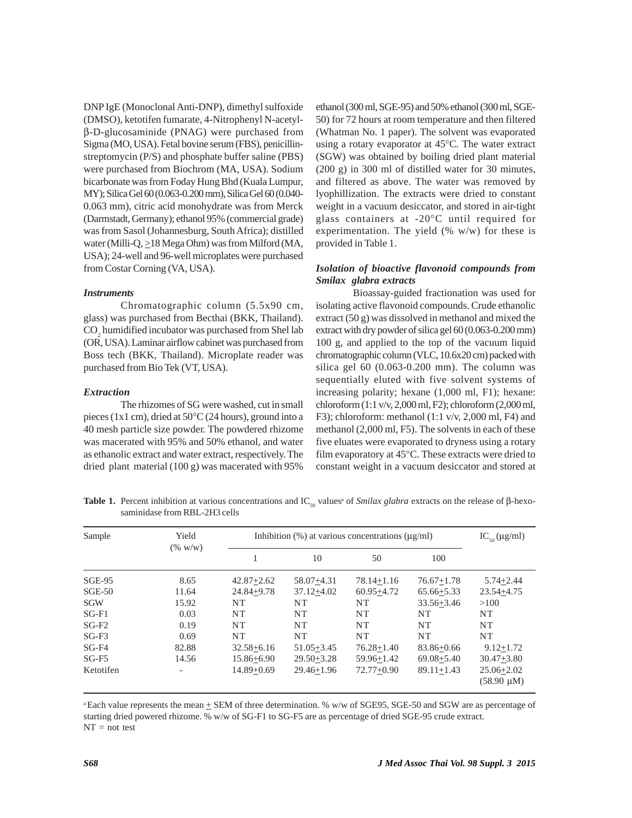DNP IgE (Monoclonal Anti-DNP), dimethyl sulfoxide (DMSO), ketotifen fumarate, 4-Nitrophenyl N-acetylβ-D-glucosaminide (PNAG) were purchased from Sigma (MO, USA). Fetal bovine serum (FBS), penicillinstreptomycin (P/S) and phosphate buffer saline (PBS) were purchased from Biochrom (MA, USA). Sodium bicarbonate was from Foday Hung Bhd (Kuala Lumpur, MY); Silica Gel 60 (0.063-0.200 mm), Silica Gel 60 (0.040- 0.063 mm), citric acid monohydrate was from Merck (Darmstadt, Germany); ethanol 95% (commercial grade) was from Sasol (Johannesburg, South Africa); distilled water (Milli-Q,  $\geq$ 18 Mega Ohm) was from Milford (MA, USA); 24-well and 96-well microplates were purchased from Costar Corning (VA, USA).

#### *Instruments*

Chromatographic column (5.5x90 cm, glass) was purchased from Becthai (BKK, Thailand).  $\mathrm{CO}_2$  humidified incubator was purchased from Shel lab (OR, USA). Laminar airflow cabinet was purchased from Boss tech (BKK, Thailand). Microplate reader was purchased from Bio Tek (VT, USA).

#### *Extraction*

The rhizomes of SG were washed, cut in small pieces (1x1 cm), dried at 50°C (24 hours), ground into a 40 mesh particle size powder. The powdered rhizome was macerated with 95% and 50% ethanol, and water as ethanolic extract and water extract, respectively. The dried plant material (100 g) was macerated with 95% ethanol (300 ml, SGE-95) and 50% ethanol (300 ml, SGE-50) for 72 hours at room temperature and then filtered (Whatman No. 1 paper). The solvent was evaporated using a rotary evaporator at 45°C. The water extract (SGW) was obtained by boiling dried plant material (200 g) in 300 ml of distilled water for 30 minutes, and filtered as above. The water was removed by lyophillization. The extracts were dried to constant weight in a vacuum desiccator, and stored in air-tight glass containers at -20°C until required for experimentation. The yield  $(\% w/w)$  for these is provided in Table 1.

# *Isolation of bioactive flavonoid compounds from Smilax glabra extracts*

Bioassay-guided fractionation was used for isolating active flavonoid compounds. Crude ethanolic extract (50 g) was dissolved in methanol and mixed the extract with dry powder of silica gel 60 (0.063-0.200 mm) 100 g, and applied to the top of the vacuum liquid chromatographic column (VLC, 10.6x20 cm) packed with silica gel 60 (0.063-0.200 mm). The column was sequentially eluted with five solvent systems of increasing polarity; hexane (1,000 ml, F1); hexane: chloroform (1:1 v/v, 2,000 ml, F2); chloroform (2,000 ml, F3); chloroform: methanol  $(1:1 \text{ v/v}, 2,000 \text{ ml}, \text{F4})$  and methanol (2,000 ml, F5). The solvents in each of these five eluates were evaporated to dryness using a rotary film evaporatory at 45°C. These extracts were dried to constant weight in a vacuum desiccator and stored at

**Table 1.** Percent inhibition at various concentrations and IC<sub>50</sub> values<sup>a</sup> of *Smilax glabra* extracts on the release of β-hexosaminidase from RBL-2H3 cells

| Sample        | Yield<br>$(\% w/w)$ | Inhibition $(\% )$ at various concentrations ( $\mu$ g/ml) |                |                |                | $IC_{50}(\mu g/ml)$                    |
|---------------|---------------------|------------------------------------------------------------|----------------|----------------|----------------|----------------------------------------|
|               |                     |                                                            | 10             | 50             | 100            |                                        |
| <b>SGE-95</b> | 8.65                | $42.87 + 2.62$                                             | 58.07+4.31     | $78.14 + 1.16$ | $76.67 + 1.78$ | $5.74 + 2.44$                          |
| $SGE-50$      | 11.64               | $24.84 + 9.78$                                             | $37.12 + 4.02$ | $60.95 + 4.72$ | $65.66 + 5.33$ | $23.54 + 4.75$                         |
| <b>SGW</b>    | 15.92               | NT                                                         | NT             | NT             | $33.56 + 3.46$ | >100                                   |
| $SG-F1$       | 0.03                | NT                                                         | NT             | NT             | <b>NT</b>      | <b>NT</b>                              |
| $SG-F2$       | 0.19                | NT                                                         | NT             | NT             | NT             | NT                                     |
| $SG-F3$       | 0.69                | NT                                                         | NT             | NT             | <b>NT</b>      | <b>NT</b>                              |
| SG-F4         | 82.88               | $32.58 + 6.16$                                             | $51.05 + 3.45$ | $76.28 + 1.40$ | 83.86+0.66     | $9.12 + 1.72$                          |
| $SG-F5$       | 14.56               | $15.86 + 6.90$                                             | $29.50 + 3.28$ | $59.96 + 1.42$ | $69.08 + 5.40$ | $30.47 + 3.80$                         |
| Ketotifen     |                     | $14.89 + 0.69$                                             | $29.46 + 1.96$ | $72.77+0.90$   | $89.11 + 1.43$ | $25.06 + 2.02$<br>$(58.90 \text{ µM})$ |

<sup>a</sup> Each value represents the mean  $\pm$  SEM of three determination. % w/w of SGE95, SGE-50 and SGW are as percentage of starting dried powered rhizome. % w/w of SG-F1 to SG-F5 are as percentage of dried SGE-95 crude extract.  $NT = not test$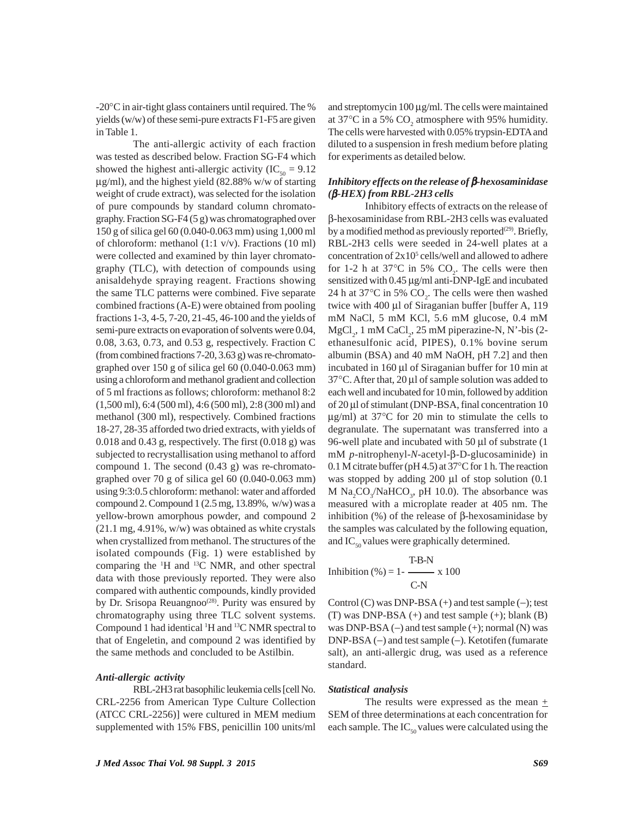-20°C in air-tight glass containers until required. The % yields (w/w) of these semi-pure extracts F1-F5 are given in Table 1.

The anti-allergic activity of each fraction was tested as described below. Fraction SG-F4 which showed the highest anti-allergic activity (IC<sub>50</sub> = 9.12)  $\mu$ g/ml), and the highest yield (82.88% w/w of starting weight of crude extract), was selected for the isolation of pure compounds by standard column chromatography. Fraction SG-F4 (5 g) was chromatographed over 150 g of silica gel 60 (0.040-0.063 mm) using 1,000 ml of chloroform: methanol (1:1 v/v). Fractions (10 ml) were collected and examined by thin layer chromatography (TLC), with detection of compounds using anisaldehyde spraying reagent. Fractions showing the same TLC patterns were combined. Five separate combined fractions (A-E) were obtained from pooling fractions 1-3, 4-5, 7-20, 21-45, 46-100 and the yields of semi-pure extracts on evaporation of solvents were 0.04, 0.08, 3.63, 0.73, and 0.53 g, respectively. Fraction C (from combined fractions 7-20, 3.63 g) was re-chromatographed over 150 g of silica gel 60 (0.040-0.063 mm) using a chloroform and methanol gradient and collection of 5 ml fractions as follows; chloroform: methanol 8:2 (1,500 ml), 6:4 (500 ml), 4:6 (500 ml), 2:8 (300 ml) and methanol (300 ml), respectively. Combined fractions 18-27, 28-35 afforded two dried extracts, with yields of 0.018 and 0.43 g, respectively. The first (0.018 g) was subjected to recrystallisation using methanol to afford compound 1. The second (0.43 g) was re-chromatographed over 70 g of silica gel 60 (0.040-0.063 mm) using 9:3:0.5 chloroform: methanol: water and afforded compound 2. Compound  $1(2.5 \text{ mg}, 13.89\%$ , w/w) was a yellow-brown amorphous powder, and compound 2 (21.1 mg, 4.91%, w/w) was obtained as white crystals when crystallized from methanol. The structures of the isolated compounds (Fig. 1) were established by comparing the  $\mathrm{H}$  and  $\mathrm{^{13}C}$  NMR, and other spectral data with those previously reported. They were also compared with authentic compounds, kindly provided by Dr. Srisopa Reuangnoo<sup>(28)</sup>. Purity was ensured by chromatography using three TLC solvent systems. Compound 1 had identical <sup>1</sup>H and <sup>13</sup>C NMR spectral to that of Engeletin, and compound 2 was identified by the same methods and concluded to be Astilbin.

#### *Anti-allergic activity*

RBL-2H3 rat basophilic leukemia cells [cell No. CRL-2256 from American Type Culture Collection (ATCC CRL-2256)] were cultured in MEM medium supplemented with 15% FBS, penicillin 100 units/ml and streptomycin 100 μg/ml. The cells were maintained at 37°C in a 5%  $CO_2$  atmosphere with 95% humidity. The cells were harvested with 0.05% trypsin-EDTA and diluted to a suspension in fresh medium before plating for experiments as detailed below.

## *Inhibitory effects on the release of* β*-hexosaminidase (*β*-HEX) from RBL-2H3 cells*

Inhibitory effects of extracts on the release of β-hexosaminidase from RBL-2H3 cells was evaluated by a modified method as previously reported $(29)$ . Briefly, RBL-2H3 cells were seeded in 24-well plates at a concentration of  $2x10^5$  cells/well and allowed to adhere for 1-2 h at 37 $^{\circ}$ C in 5% CO<sub>2</sub>. The cells were then sensitized with 0.45 μg/ml anti-DNP-IgE and incubated 24 h at 37 $^{\circ}$ C in 5% CO<sub>2</sub>. The cells were then washed twice with 400 μl of Siraganian buffer [buffer A, 119 mM NaCl, 5 mM KCl, 5.6 mM glucose, 0.4 mM  $MgCl<sub>2</sub>$ , 1 mM CaCl<sub>2</sub>, 25 mM piperazine-N, N'-bis (2ethanesulfonic acid, PIPES), 0.1% bovine serum albumin (BSA) and 40 mM NaOH, pH 7.2] and then incubated in 160 μl of Siraganian buffer for 10 min at 37°C. After that, 20 μl of sample solution was added to each well and incubated for 10 min, followed by addition of 20 μl of stimulant (DNP-BSA, final concentration 10 μg/ml) at 37°C for 20 min to stimulate the cells to degranulate. The supernatant was transferred into a 96-well plate and incubated with 50 μl of substrate (1 mM *p*-nitrophenyl-*N*-acetyl-β-D-glucosaminide) in 0.1 M citrate buffer (pH 4.5) at 37°C for 1 h. The reaction was stopped by adding 200 μl of stop solution (0.1 M  $\text{Na}_2\text{CO}_3/\text{NaHCO}_3$ , pH 10.0). The absorbance was measured with a microplate reader at 405 nm. The inhibition  $%$ ) of the release of β-hexosaminidase by the samples was calculated by the following equation, and  $IC_{50}$  values were graphically determined.

$$
Inhibition (%) = 1 - \frac{T-B-N}{C-N} \times 100
$$

Control (C) was DNP-BSA (+) and test sample (−); test  $(T)$  was DNP-BSA  $(+)$  and test sample  $(+)$ ; blank  $(B)$ was DNP-BSA (−) and test sample (+); normal (N) was DNP-BSA (−) and test sample (−). Ketotifen (fumarate salt), an anti-allergic drug, was used as a reference standard.

#### *Statistical analysis*

The results were expressed as the mean  $+$ SEM of three determinations at each concentration for each sample. The  $IC_{50}$  values were calculated using the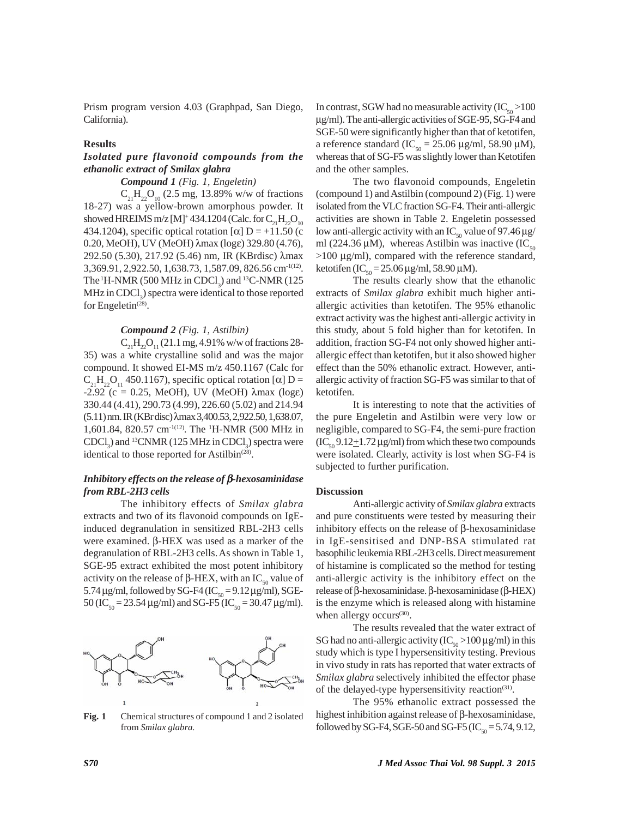Prism program version 4.03 (Graphpad, San Diego, California).

## **Results**

# *Isolated pure flavonoid compounds from the ethanolic extract of Smilax glabra*

# *Compound 1 (Fig. 1, Engeletin)*

 $C_{21}H_{22}O_{10}$  (2.5 mg, 13.89% w/w of fractions 18-27) was a yellow-brown amorphous powder. It showed HREIMS m/z [M]+434.1204 (Calc. for  $C_{21}H_{22}O_{10}$ 434.1204), specific optical rotation  $[\alpha]$  D = +11.50 (c 0.20, MeOH), UV (MeOH) λmax (logε) 329.80 (4.76), 292.50 (5.30), 217.92 (5.46) nm, IR (KBrdisc) λmax 3,369.91, 2,922.50, 1,638.73, 1,587.09, 826.56 cm-1(12). The  ${}^{1}$ H-NMR (500 MHz in CDCl<sub>3</sub>) and  ${}^{13}$ C-NMR (125  $MHz$  in  $CDCl<sub>3</sub>$ ) spectra were identical to those reported for Engeletin $^{(28)}$ .

## *Compound 2 (Fig. 1, Astilbin)*

 $C_{21}H_{22}O_{11}$  (21.1 mg, 4.91% w/w of fractions 28-35) was a white crystalline solid and was the major compound. It showed EI-MS m/z 450.1167 (Calc for  $C_{21}H_{22}O_{11}$  450.1167), specific optical rotation [ $\alpha$ ] D =  $-2.92$  (c = 0.25, MeOH), UV (MeOH)  $\lambda$ max (log $\varepsilon$ ) 330.44 (4.41), 290.73 (4.99), 226.60 (5.02) and 214.94 (5.11) nm. IR (KBr disc) λmax 3,400.53, 2,922.50, 1,638.07, 1,601.84, 820.57 cm-1(12). The 1 H-NMR (500 MHz in CDCl<sub>3</sub>) and <sup>13</sup>CNMR (125 MHz in CDCl<sub>3</sub>) spectra were identical to those reported for Astilbin<sup> $(28)$ </sup>.

# *Inhibitory effects on the release of* β*-hexosaminidase from RBL-2H3 cells*

The inhibitory effects of *Smilax glabra* extracts and two of its flavonoid compounds on IgEinduced degranulation in sensitized RBL-2H3 cells were examined. β-HEX was used as a marker of the degranulation of RBL-2H3 cells. As shown in Table 1, SGE-95 extract exhibited the most potent inhibitory activity on the release of β-HEX, with an IC<sub>50</sub> value of 5.74  $\mu$ g/ml, followed by SG-F4 (IC<sub>50</sub> = 9.12  $\mu$ g/ml), SGE-50 (IC<sub>50</sub> = 23.54 μg/ml) and SG-F5 (IC<sub>50</sub> = 30.47 μg/ml).



**Fig. 1** Chemical structures of compound 1 and 2 isolated from *Smilax glabra.*

In contrast, SGW had no measurable activity  $(IC_{50} >100$ μg/ml). The anti-allergic activities of SGE-95, SG-F4 and SGE-50 were significantly higher than that of ketotifen, a reference standard (IC<sub>50</sub> = 25.06 μg/ml, 58.90 μM), whereas that of SG-F5 was slightly lower than Ketotifen and the other samples.

The two flavonoid compounds, Engeletin (compound 1) and Astilbin (compound 2) (Fig. 1) were isolated from the VLC fraction SG-F4. Their anti-allergic activities are shown in Table 2. Engeletin possessed low anti-allergic activity with an IC<sub>50</sub> value of 97.46 μg/ ml (224.36  $\mu$ M), whereas Astilbin was inactive (IC<sub>50</sub>) >100 μg/ml), compared with the reference standard, ketotifen (IC<sub>50</sub> = 25.06 μg/ml, 58.90 μM).

The results clearly show that the ethanolic extracts of *Smilax glabra* exhibit much higher antiallergic activities than ketotifen. The 95% ethanolic extract activity was the highest anti-allergic activity in this study, about 5 fold higher than for ketotifen. In addition, fraction SG-F4 not only showed higher antiallergic effect than ketotifen, but it also showed higher effect than the 50% ethanolic extract. However, antiallergic activity of fraction SG-F5 was similar to that of ketotifen.

It is interesting to note that the activities of the pure Engeletin and Astilbin were very low or negligible, compared to SG-F4, the semi-pure fraction  $(IC_{50} 9.12 \pm 1.72 \,\mu g/ml)$  from which these two compounds were isolated. Clearly, activity is lost when SG-F4 is subjected to further purification.

#### **Discussion**

Anti-allergic activity of *Smilax glabra* extracts and pure constituents were tested by measuring their inhibitory effects on the release of β-hexosaminidase in IgE-sensitised and DNP-BSA stimulated rat basophilic leukemia RBL-2H3 cells. Direct measurement of histamine is complicated so the method for testing anti-allergic activity is the inhibitory effect on the release of β-hexosaminidase. β-hexosaminidase (β-HEX) is the enzyme which is released along with histamine when allergy occurs $(30)$ .

The results revealed that the water extract of SG had no anti-allergic activity  $(IC_{50} > 100 \,\mu\text{g/ml})$  in this study which is type I hypersensitivity testing. Previous in vivo study in rats has reported that water extracts of *Smilax glabra* selectively inhibited the effector phase of the delayed-type hypersensitivity reaction<sup> $(31)$ </sup>.

The 95% ethanolic extract possessed the highest inhibition against release of β-hexosaminidase, followed by SG-F4, SGE-50 and SG-F5 (IC $_{50}$  = 5.74, 9.12,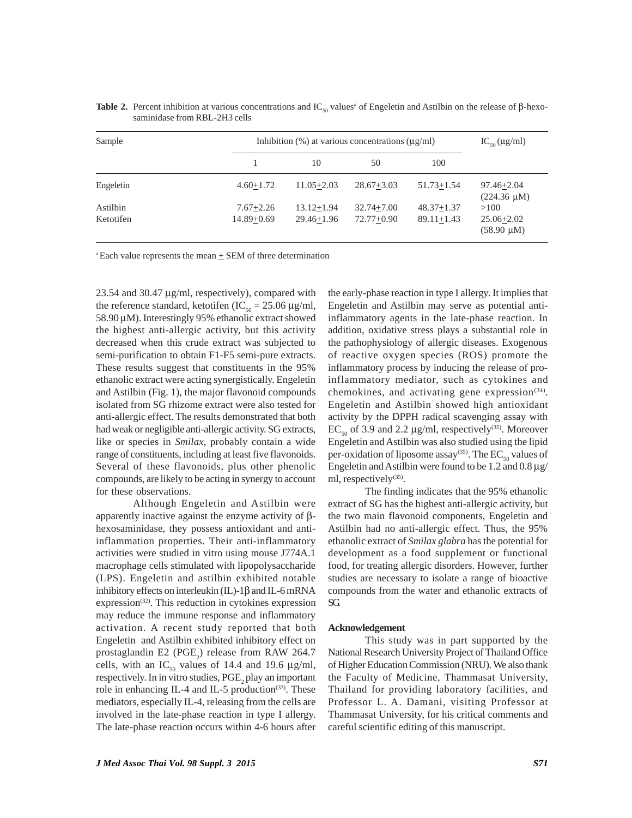| Sample                | Inhibition $(\% )$ at various concentrations $(\mu \varrho/m)$ |                                  |                              |                                  | $IC_{50}$ (µg/ml)                         |
|-----------------------|----------------------------------------------------------------|----------------------------------|------------------------------|----------------------------------|-------------------------------------------|
|                       |                                                                | 10                               | 50                           | 100                              |                                           |
| Engeletin             | $4.60 + 1.72$                                                  | $11.05 + 2.03$                   | $28.67 + 3.03$               | $51.73 + 1.54$                   | $97.46 + 2.04$<br>$(224.36 \mu M)$        |
| Astilbin<br>Ketotifen | $7.67 + 2.26$<br>$14.89 + 0.69$                                | $13.12 + 1.94$<br>$29.46 + 1.96$ | $32.74 + 7.00$<br>72.77+0.90 | $48.37 + 1.37$<br>$89.11 + 1.43$ | >100<br>$25.06 + 2.02$<br>$(58.90 \mu M)$ |

**Table 2.** Percent inhibition at various concentrations and  $IC_{50}$  values<sup>a</sup> of Engeletin and Astilbin on the release of β-hexosaminidase from RBL-2H3 cells

 $a$  Each value represents the mean  $\pm$  SEM of three determination

23.54 and 30.47 μg/ml, respectively), compared with the reference standard, ketotifen (IC<sub>50</sub> = 25.06  $\mu$ g/ml, 58.90 μM). Interestingly 95% ethanolic extract showed the highest anti-allergic activity, but this activity decreased when this crude extract was subjected to semi-purification to obtain F1-F5 semi-pure extracts. These results suggest that constituents in the 95% ethanolic extract were acting synergistically. Engeletin and Astilbin (Fig. 1), the major flavonoid compounds isolated from SG rhizome extract were also tested for anti-allergic effect. The results demonstrated that both had weak or negligible anti-allergic activity. SG extracts, like or species in *Smilax*, probably contain a wide range of constituents, including at least five flavonoids. Several of these flavonoids, plus other phenolic compounds, are likely to be acting in synergy to account for these observations.

Although Engeletin and Astilbin were apparently inactive against the enzyme activity of βhexosaminidase, they possess antioxidant and antiinflammation properties. Their anti-inflammatory activities were studied in vitro using mouse J774A.1 macrophage cells stimulated with lipopolysaccharide (LPS). Engeletin and astilbin exhibited notable inhibitory effects on interleukin  $(IL)$ -1 $\beta$  and IL-6 mRNA expression<sup>(32)</sup>. This reduction in cytokines expression may reduce the immune response and inflammatory activation. A recent study reported that both Engeletin and Astilbin exhibited inhibitory effect on prostaglandin E2 ( $PGE_2$ ) release from RAW 264.7 cells, with an IC<sub>50</sub> values of 14.4 and 19.6  $\mu$ g/ml, respectively. In in vitro studies,  $\mathrm{PGE}_2$  play an important role in enhancing IL-4 and IL-5 production<sup>(33)</sup>. These mediators, especially IL-4, releasing from the cells are involved in the late-phase reaction in type I allergy. The late-phase reaction occurs within 4-6 hours after

the early-phase reaction in type I allergy. It implies that Engeletin and Astilbin may serve as potential antiinflammatory agents in the late-phase reaction. In addition, oxidative stress plays a substantial role in the pathophysiology of allergic diseases. Exogenous of reactive oxygen species (ROS) promote the inflammatory process by inducing the release of proinflammatory mediator, such as cytokines and chemokines, and activating gene expression $(34)$ . Engeletin and Astilbin showed high antioxidant activity by the DPPH radical scavenging assay with  $EC_{50}$  of 3.9 and 2.2 µg/ml, respectively<sup>(35)</sup>. Moreover Engeletin and Astilbin was also studied using the lipid per-oxidation of liposome assay<sup>(35)</sup>. The  $EC_{50}$  values of Engeletin and Astilbin were found to be 1.2 and  $0.8 \mu$ g/ ml, respectively<sup>(35)</sup>.

The finding indicates that the 95% ethanolic extract of SG has the highest anti-allergic activity, but the two main flavonoid components, Engeletin and Astilbin had no anti-allergic effect. Thus, the 95% ethanolic extract of *Smilax glabra* has the potential for development as a food supplement or functional food, for treating allergic disorders. However, further studies are necessary to isolate a range of bioactive compounds from the water and ethanolic extracts of SG.

#### **Acknowledgement**

This study was in part supported by the National Research University Project of Thailand Office of Higher Education Commission (NRU). We also thank the Faculty of Medicine, Thammasat University, Thailand for providing laboratory facilities, and Professor L. A. Damani, visiting Professor at Thammasat University, for his critical comments and careful scientific editing of this manuscript.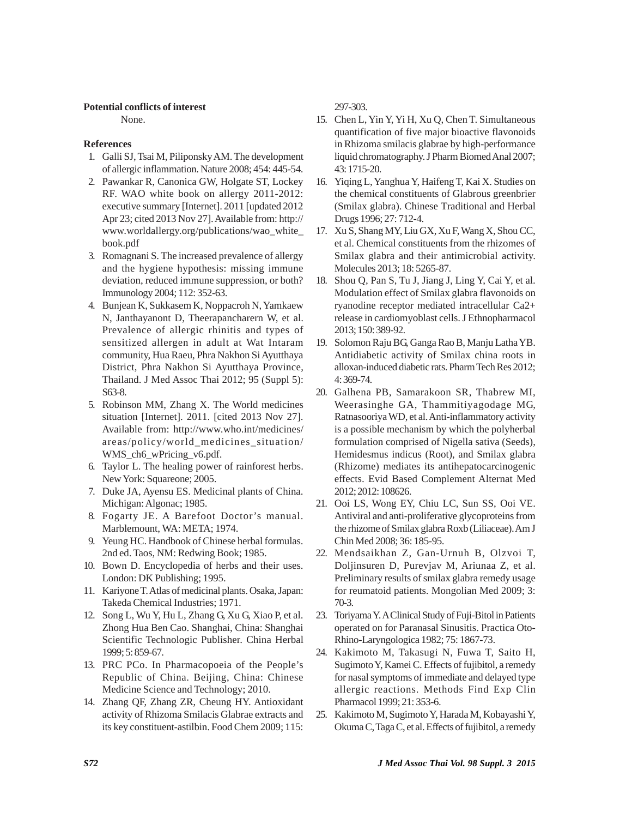## **Potential conflicts of interest**

None.

# **References**

- 1. Galli SJ, Tsai M, Piliponsky AM. The development of allergic inflammation. Nature 2008; 454: 445-54.
- 2. Pawankar R, Canonica GW, Holgate ST, Lockey RF. WAO white book on allergy 2011-2012: executive summary [Internet]. 2011 [updated 2012 Apr 23; cited 2013 Nov 27]. Available from: http:// www.worldallergy.org/publications/wao\_white\_ book.pdf
- 3. Romagnani S. The increased prevalence of allergy and the hygiene hypothesis: missing immune deviation, reduced immune suppression, or both? Immunology 2004; 112: 352-63.
- 4. Bunjean K, Sukkasem K, Noppacroh N, Yamkaew N, Janthayanont D, Theerapancharern W, et al. Prevalence of allergic rhinitis and types of sensitized allergen in adult at Wat Intaram community, Hua Raeu, Phra Nakhon Si Ayutthaya District, Phra Nakhon Si Ayutthaya Province, Thailand. J Med Assoc Thai 2012; 95 (Suppl 5): S63-8.
- 5. Robinson MM, Zhang X. The World medicines situation [Internet]. 2011. [cited 2013 Nov 27]. Available from: http://www.who.int/medicines/ areas/policy/world\_medicines\_situation/ WMS\_ch6\_wPricing\_v6.pdf.
- 6. Taylor L. The healing power of rainforest herbs. New York: Squareone; 2005.
- 7. Duke JA, Ayensu ES. Medicinal plants of China. Michigan: Algonac; 1985.
- 8. Fogarty JE. A Barefoot Doctor's manual. Marblemount, WA: META; 1974.
- 9. Yeung HC. Handbook of Chinese herbal formulas. 2nd ed. Taos, NM: Redwing Book; 1985.
- 10. Bown D. Encyclopedia of herbs and their uses. London: DK Publishing; 1995.
- 11. Kariyone T. Atlas of medicinal plants. Osaka, Japan: Takeda Chemical Industries; 1971.
- 12. Song L, Wu Y, Hu L, Zhang G, Xu G, Xiao P, et al. Zhong Hua Ben Cao. Shanghai, China: Shanghai Scientific Technologic Publisher. China Herbal 1999; 5: 859-67.
- 13. PRC PCo. In Pharmacopoeia of the People's Republic of China. Beijing, China: Chinese Medicine Science and Technology; 2010.
- 14. Zhang QF, Zhang ZR, Cheung HY. Antioxidant activity of Rhizoma Smilacis Glabrae extracts and its key constituent-astilbin. Food Chem 2009; 115:

297-303.

- 15. Chen L, Yin Y, Yi H, Xu Q, Chen T. Simultaneous quantification of five major bioactive flavonoids in Rhizoma smilacis glabrae by high-performance liquid chromatography. J Pharm Biomed Anal 2007; 43: 1715-20.
- 16. Yiqing L, Yanghua Y, Haifeng T, Kai X. Studies on the chemical constituents of Glabrous greenbrier (Smilax glabra). Chinese Traditional and Herbal Drugs 1996; 27: 712-4.
- 17. Xu S, Shang MY, Liu GX, Xu F, Wang X, Shou CC, et al. Chemical constituents from the rhizomes of Smilax glabra and their antimicrobial activity. Molecules 2013; 18: 5265-87.
- 18. Shou Q, Pan S, Tu J, Jiang J, Ling Y, Cai Y, et al. Modulation effect of Smilax glabra flavonoids on ryanodine receptor mediated intracellular Ca2+ release in cardiomyoblast cells. J Ethnopharmacol 2013; 150: 389-92.
- 19. Solomon Raju BG, Ganga Rao B, Manju Latha YB. Antidiabetic activity of Smilax china roots in alloxan-induced diabetic rats. Pharm Tech Res 2012; 4: 369-74.
- 20. Galhena PB, Samarakoon SR, Thabrew MI, Weerasinghe GA, Thammitiyagodage MG, Ratnasooriya WD, et al. Anti-inflammatory activity is a possible mechanism by which the polyherbal formulation comprised of Nigella sativa (Seeds), Hemidesmus indicus (Root), and Smilax glabra (Rhizome) mediates its antihepatocarcinogenic effects. Evid Based Complement Alternat Med 2012; 2012: 108626.
- 21. Ooi LS, Wong EY, Chiu LC, Sun SS, Ooi VE. Antiviral and anti-proliferative glycoproteins from the rhizome of Smilax glabra Roxb (Liliaceae). Am J Chin Med 2008; 36: 185-95.
- 22. Mendsaikhan Z, Gan-Urnuh B, Olzvoi T, Doljinsuren D, Purevjav M, Ariunaa Z, et al. Preliminary results of smilax glabra remedy usage for reumatoid patients. Mongolian Med 2009; 3: 70-3.
- 23. Toriyama Y. A Clinical Study of Fuji-Bitol in Patients operated on for Paranasal Sinusitis. Practica Oto-Rhino-Laryngologica 1982; 75: 1867-73.
- 24. Kakimoto M, Takasugi N, Fuwa T, Saito H, Sugimoto Y, Kamei C. Effects of fujibitol, a remedy for nasal symptoms of immediate and delayed type allergic reactions. Methods Find Exp Clin Pharmacol 1999; 21: 353-6.
- 25. Kakimoto M, Sugimoto Y, Harada M, Kobayashi Y, Okuma C, Taga C, et al. Effects of fujibitol, a remedy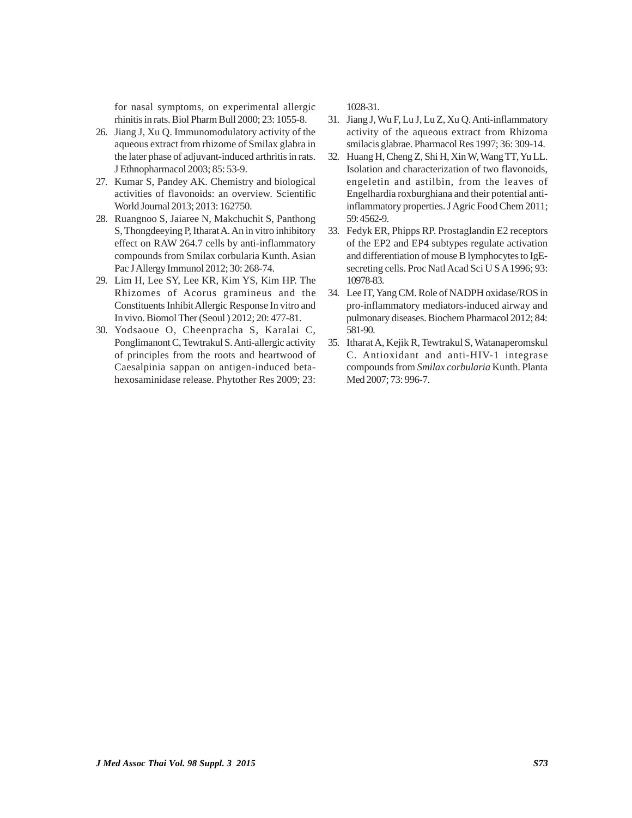for nasal symptoms, on experimental allergic rhinitis in rats. Biol Pharm Bull 2000; 23: 1055-8.

- 26. Jiang J, Xu Q. Immunomodulatory activity of the aqueous extract from rhizome of Smilax glabra in the later phase of adjuvant-induced arthritis in rats. J Ethnopharmacol 2003; 85: 53-9.
- 27. Kumar S, Pandey AK. Chemistry and biological activities of flavonoids: an overview. Scientific World Journal 2013; 2013: 162750.
- 28. Ruangnoo S, Jaiaree N, Makchuchit S, Panthong S, Thongdeeying P, Itharat A. An in vitro inhibitory effect on RAW 264.7 cells by anti-inflammatory compounds from Smilax corbularia Kunth. Asian Pac J Allergy Immunol 2012; 30: 268-74.
- 29. Lim H, Lee SY, Lee KR, Kim YS, Kim HP. The Rhizomes of Acorus gramineus and the Constituents Inhibit Allergic Response In vitro and In vivo. Biomol Ther (Seoul ) 2012; 20: 477-81.
- 30. Yodsaoue O, Cheenpracha S, Karalai C, Ponglimanont C, Tewtrakul S. Anti-allergic activity of principles from the roots and heartwood of Caesalpinia sappan on antigen-induced betahexosaminidase release. Phytother Res 2009; 23:

1028-31.

- 31. Jiang J, Wu F, Lu J, Lu Z, Xu Q. Anti-inflammatory activity of the aqueous extract from Rhizoma smilacis glabrae. Pharmacol Res 1997; 36: 309-14.
- 32. Huang H, Cheng Z, Shi H, Xin W, Wang TT, Yu LL. Isolation and characterization of two flavonoids, engeletin and astilbin, from the leaves of Engelhardia roxburghiana and their potential antiinflammatory properties. J Agric Food Chem 2011; 59: 4562-9.
- 33. Fedyk ER, Phipps RP. Prostaglandin E2 receptors of the EP2 and EP4 subtypes regulate activation and differentiation of mouse B lymphocytes to IgEsecreting cells. Proc Natl Acad Sci U S A 1996; 93: 10978-83.
- 34. Lee IT, Yang CM. Role of NADPH oxidase/ROS in pro-inflammatory mediators-induced airway and pulmonary diseases. Biochem Pharmacol 2012; 84: 581-90.
- 35. Itharat A, Kejik R, Tewtrakul S, Watanaperomskul C. Antioxidant and anti-HIV-1 integrase compounds from *Smilax corbularia* Kunth. Planta Med 2007; 73: 996-7.